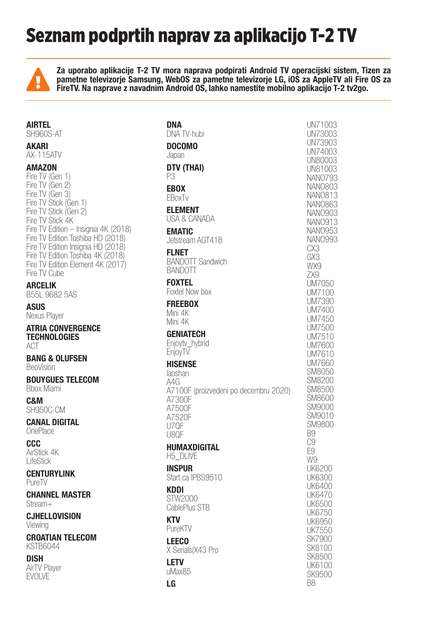# Seznam podprtih naprav za aplikacijo T-2 TV



Za uporabo aplikacije T-2 TV mora naprava podpirati Android TV operacijski sistem, Tizen za pametne televizorje Samsung, WebOS za pametne televizorje LG, iOS za AppleTV ali Fire OS za FireTV. Na naprave z navadnim Android OS, lahko namestite mobilno aplikacijo T-2 tv2go.

| <b>AIRTEL</b><br>SH960S-AT                                                                                                   | <b>DNA</b><br>DNA TV-hubi                                 |
|------------------------------------------------------------------------------------------------------------------------------|-----------------------------------------------------------|
| <b>AKARI</b>                                                                                                                 | <b>DOCOMO</b>                                             |
| <b>AX-115ATV</b>                                                                                                             | Japan                                                     |
| <b>AMAZON</b><br>Fire TV (Gen 1)                                                                                             | DTV (THAI)<br>P3                                          |
| Fire TV (Gen 2)<br>Fire TV (Gen 3)                                                                                           | <b>EBOX</b><br>EBoxTv                                     |
| Fire TV Stick (Gen 1)<br>Fire TV Stick (Gen 2)<br>Fire TV Stick 4K                                                           | <b>ELEMENT</b><br>USA & CANADA                            |
| Fire TV Edition - Insignia 4K (2018)<br>Fire TV Edition Toshiba HD (2018)                                                    | <b>EMATIC</b><br>Jetstream AGT418                         |
| Fire TV Edition Insignia HD (2018)<br>Fire TV Edition Toshiba 4K (2018)<br>Fire TV Edition Element 4K (2017)<br>Fire TV Cube | <b>FLNET</b><br><b>BANDOTT Sandwich</b><br><b>BANDOTT</b> |
| <b>ARCELIK</b><br><b>B55L 9682 5AS</b>                                                                                       | <b>FOXTEL</b><br>Foxtel Now box                           |
| <b>ASUS</b><br>Nexus Player                                                                                                  | <b>FREEBOX</b><br>Mini 4K<br>Mini 4K                      |
| <b>ATRIA CONVERGENCE</b><br><b>TECHNOLOGIES</b><br>ACT                                                                       | <b>GENIATECH</b><br>Enjoytv_hybrid                        |
| <b>BANG &amp; OLUFSEN</b><br>BeoVision                                                                                       | EnjoyTV<br><b>HISENSE</b>                                 |
| <b>BOUYGUES TELECOM</b><br><b>Bbox Miami</b>                                                                                 | laoshan<br>A4G<br>A7100F (proizvedeni po decembru 202     |
| C&M<br>SH950C-CM                                                                                                             | A7300F<br>A7500F                                          |
| <b>CANAL DIGITAL</b><br>OnePlace                                                                                             | A7520F<br>U7QF<br>U8QF                                    |
| <b>CCC</b><br>AirStick 4K<br>LifeStick                                                                                       | <b>HUMAXDIGITAL</b><br>H5_DLIVE                           |
| <b>CENTURYLINK</b><br>PureTV                                                                                                 | <b>INSPUR</b><br>Start.ca IPBS9510                        |
| <b>CHANNEL MASTER</b><br>Stream+                                                                                             | <b>KDDI</b><br>STW2000<br>CablePlus STB                   |
| <b>CJHELLOVISION</b><br>Viewing                                                                                              | <b>KTV</b><br>PureKTV                                     |
| <b>CROATIAN TELECOM</b><br><b>KSTB6044</b>                                                                                   | <b>LEECO</b><br>X Serials (X43 Pro                        |
| <b>DISH</b><br><b>AirTV Player</b><br><b>EVOLVE</b>                                                                          | <b>LETV</b><br>uMax85                                     |
|                                                                                                                              | <b>LG</b>                                                 |

|     | UN73003<br>UN73903<br>UN74003<br>UN80003<br>UN81003<br><b>NANO793</b><br><b>NANO803</b><br>NAN0813<br><b>NANO903</b><br>NAN0913<br><br>NANO953<br>CX3<br>GX3<br>WX9<br>ZX9<br>UM7050                      |
|-----|-----------------------------------------------------------------------------------------------------------------------------------------------------------------------------------------------------------|
| 20) | UM7100<br>UM7390<br>UM7400<br>UM7450<br>UM7500<br>UM7510<br>UM7600<br>UM7610<br>UM7660<br>SM8050<br>SM8200<br>SM8500<br><b>SM8600</b><br>SM9000<br>SM9010<br>SM9800<br>B9<br>.<br>C9<br>.<br>E9           |
|     | W9<br><b>UK6200</b><br>UK6300<br><b>UK6400</b><br>UK6470<br><b>UK6500</b><br><b>UK6750</b><br>UK6950<br><b>UK7550</b><br><b>SK7900</b><br>SK8100<br><b>SK8500</b><br><b>UK6100</b><br><b>SK9500</b><br>B8 |

UN71003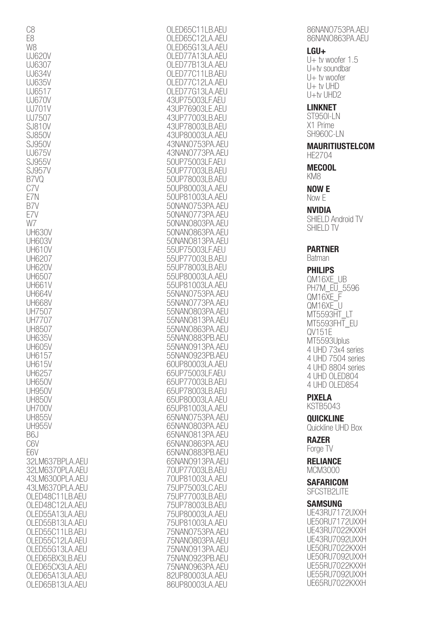| 065C11LB.AEU<br>( )  H                         |  |
|------------------------------------------------|--|
|                                                |  |
| 065C1                                          |  |
| 2LA.AEU<br>(                                   |  |
| 065G13LA.AEU                                   |  |
|                                                |  |
| 3LA.AEU<br>7A1                                 |  |
| $\overline{\mathcal{S}}$<br>A.AEU<br>7B1       |  |
|                                                |  |
| 7C1<br>-B.AEU                                  |  |
| 7C1<br>A.AFU                                   |  |
|                                                |  |
| 7Gʻ<br>31<br>1<br>A.AEU                        |  |
| 431<br>JI<br>31<br>F.AEU<br>7500               |  |
|                                                |  |
| 43UF<br>69031<br>E.AEU                         |  |
| 3UP<br>70031<br>3.AEU<br>4                     |  |
|                                                |  |
| 3UP78003I<br><b>B.AEU</b><br>4                 |  |
| A.AFU                                          |  |
| 3UP80003I<br>4                                 |  |
| PA, AEI J<br>3NAN075;<br>4<br>31               |  |
| 79                                             |  |
| 43NANO<br>PA.AEU<br>) /                        |  |
| 50UF<br>27500:<br>F.AEU                        |  |
|                                                |  |
| 50UF<br><b>B.AEU</b><br>70031                  |  |
| 50UP78003I<br><b>B.AFU</b>                     |  |
|                                                |  |
| 50UP80003I<br>A.AFU                            |  |
| 50UP81003LA.AEU                                |  |
|                                                |  |
| 50NAN075;<br>3PA,AEU                           |  |
| $\overline{7}$<br><b>SPA.AFU</b><br>50NAN07    |  |
|                                                |  |
| 50NAN080<br>PA, AFI I<br>31                    |  |
| 50NAN086<br><b>SPA, AFI</b>                    |  |
|                                                |  |
| A.AEU<br>50NAN081                              |  |
|                                                |  |
| F.AEU<br>55UF<br>?7500:                        |  |
| 55UF<br><b>B.AEU</b><br>70031                  |  |
|                                                |  |
| 55UF<br><b>B.AEU</b><br>80031<br>$\frac{1}{2}$ |  |
| 55UP8<br>)00:<br>A Al                          |  |
|                                                |  |
| 55UP81<br>00<br>A.AI<br>31                     |  |
| 55NANO<br>75<br>PA.AI<br>31                    |  |
| 55NANO                                         |  |
| 31<br>PA.AI<br>$\sqrt{ }$<br>$\sqrt{2}$        |  |
|                                                |  |
|                                                |  |
| 55NAN080<br>$\mathsf{PA.A}$<br>31              |  |
| 55NANO81<br>PA.AI<br>31                        |  |
|                                                |  |
| 55NAN086<br>A.AFI I                            |  |
| 55NAN0883F<br>PB.AEU                           |  |
|                                                |  |
| 55NAN091<br>3PA.AEU                            |  |
| 55NAN0923PB.AEU                                |  |
|                                                |  |
| 60UP80003LA.AEU                                |  |
| 65UP75003LF.AEU                                |  |
|                                                |  |
| 65UP77003LB.AEU                                |  |
| 65UP78003LB.AEU                                |  |
|                                                |  |
| 65UP80003LA.AEU                                |  |
| 65UP81003LA.AEU                                |  |
|                                                |  |
| 65NANO753PA.AEU                                |  |
| 65NAN0803PA.AEU                                |  |
|                                                |  |
| 65NAN0813PA.AEU                                |  |
| 65NAN0863PA.AEU                                |  |
|                                                |  |
| 65NAN0883PB.AEU                                |  |
| 65NAN0913PA.AEU                                |  |
|                                                |  |
| 70UP77003LB.AEU                                |  |
| 70UP81003LA.AEU                                |  |
|                                                |  |
|                                                |  |
|                                                |  |
| 75UP75003LC.AEU<br>75UP77003LB.AEU             |  |
| 75UP78003LB.AEU                                |  |
| 75UP80003LA.AEU                                |  |
|                                                |  |
| 75UP81003LA.AEU                                |  |
|                                                |  |
| 75NAN0753PA.AEU                                |  |
| 75NAN0803PA.AEU                                |  |
|                                                |  |
| 75NANO913PA.AEU                                |  |
| 75NAN0923PB.AEU                                |  |
|                                                |  |
| 75NAN0963PA.AEU                                |  |
| 82UP80003LA.AEU<br>86UP80003LA.AFU             |  |

86NANO753PA AFU 86NANO863PA.AEU

#### LGU+

U $+$  tv woofer 1.5 U+tv soundbar U+ tv woofer U+ tv UHD  $U+tv UHD2$ 

## LINKNET

ST950I-LN X1 Prime SH960C-LN

#### MAURITIUSTELCOM HE2704

MECOOL KM8

## NOW E

Now E

## NVIDIA

SHIELD Android TV SHIELD TV

## PARTNER

Batman

## PHILIPS

QM16XE\_UB PH7M\_EU\_5596 QM16XE\_F QM16XE\_U MT5593HT\_LT MT5593FHT\_EU QV151E MT5593Uplus 4 UHD 73x4 series 4 UHD 7504 series 4 UHD 8804 series 4 UHD OLED804 4 UHD OLED854

# PIXELA

KSTB5043 **OUICKLINE** 

Quickline UHD Box

#### RAZER Forge TV

RELIANCE MCM3000

**SAFARICOM** SFCSTB2LITE

## SAMSUNG

UE43RU7172UXXH UE50RU7172UXXH UE43RU7022KXXH UE43RU7092UXXH UE50RU7022KXXH UE50RU7092UXXH UE55RU7022KXXH UE55RU7092UXXH UE65RU7022KXXH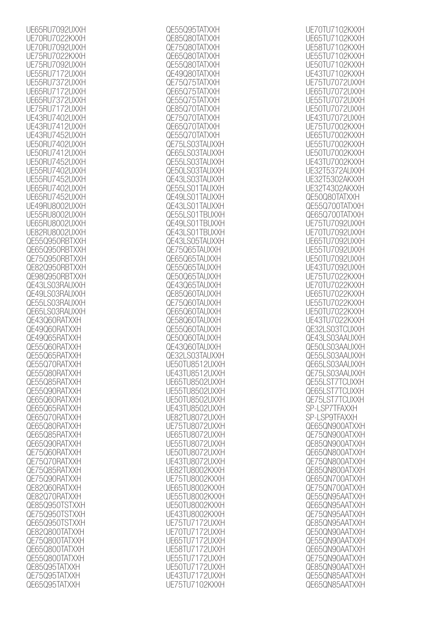| UE65RU7092UXXH                 |
|--------------------------------|
| UE70RU7022KXXH                 |
| UE70RU7092UXXH                 |
| UE75RU7022KXXH                 |
| UE75RU7092UXXH                 |
| UE55RU7172UXXH                 |
| UE55RU7372UXXH                 |
| UE65RU7172UXXH                 |
| UE65RU7372UXXH                 |
| UE75RU7172UXXH                 |
| UE43RU7402UXXH                 |
| UE43RU7412UXXH                 |
| UE43RU7452UXXH                 |
| UE50RU7402UXXH                 |
| UE50RU7412UXXH                 |
| UE50RU7452UXXH                 |
| UE55RU7402UXXH                 |
| UE55RU7452UXXH                 |
| UE65RU7402UXXH                 |
| UE65RU7452UXXH                 |
| UE49RU8002UXXH                 |
| UE55RU8002UXXH                 |
| UE65RU8002UXXH                 |
| UE82RU8002UXXH                 |
| QE55Q950RBTXXH                 |
| QE65Q950RBTXXH                 |
| QE75Q950RBTXXH                 |
| QE82Q950RBTXXH                 |
| QE98Q950RBTXXH                 |
| QE43LS03RAUXXH                 |
|                                |
| QE49LS03RAUXXH                 |
| QE55LS03RAUXXH                 |
| QE65LS03RAUXXH                 |
| QE43Q60RATXXH                  |
| QE49Q60RATXXH                  |
| QE49Q65RATXXH                  |
| QE55Q60RATXXH                  |
| QE55Q65RATXXH                  |
| QE55Q70RATXXH                  |
| QE55Q80RATXXH                  |
| QE55Q85RATXXH                  |
| QE55Q90RATXXH                  |
| QE65Q60RATXXH                  |
| QE65Q65RATXXH                  |
| QE65Q70RATXXH                  |
| QE65Q80RATXXH                  |
| QE65Q85RATXXH                  |
| QE65Q90RATXXH                  |
| QE75Q60RATXXH                  |
| QE75Q70RATXXH                  |
| QE75Q85RATXXH                  |
| QE75Q90RATXXH                  |
| QE82Q60RATXXH                  |
| QE82Q70RATXXH                  |
| QE85Q950TSTXXH                 |
| QE75Q950TSTXXH                 |
| QE65Q950TSTXXH                 |
| QE82Q800TATXXH                 |
| QE75Q800TATXXH                 |
| QE65Q800TATXXH                 |
| QE55Q800TATXXH                 |
| QE85Q95TATXXH                  |
| QE75Q95TATXXH<br>QE65Q95TATXXH |

| QE55Q95TATXXH                                                                                                                |
|------------------------------------------------------------------------------------------------------------------------------|
| QE85Q80TATXXH                                                                                                                |
|                                                                                                                              |
| QE75Q80TATXXH                                                                                                                |
| QE65Q80TATXXH                                                                                                                |
| QE55Q80TAT<br>XXH                                                                                                            |
|                                                                                                                              |
| QE49Q80TAT<br>XXH                                                                                                            |
| 75075TAT<br>XXH                                                                                                              |
| <b>QE65Q75TAT</b><br>XXH                                                                                                     |
|                                                                                                                              |
| QE55Q75TAT<br>XXH                                                                                                            |
| QE85Q70TAT<br>XXH                                                                                                            |
| QE75Q70TAT<br>XXH                                                                                                            |
|                                                                                                                              |
| QE65Q70TATXXH                                                                                                                |
| QE55Q70TATXXH                                                                                                                |
| QE75LS03TAUXXH                                                                                                               |
|                                                                                                                              |
| QE65LS03TAUXXH                                                                                                               |
| QE55LS03TAUXXH                                                                                                               |
| QE50LS03TAUXXH                                                                                                               |
| QLJULUUU ::<br>QE43LS03TAUXXH<br>QE55LS01TAUXXH<br>OF 401 SO1TALIXXH                                                         |
|                                                                                                                              |
|                                                                                                                              |
| TAÚXXH<br>TaúxXH                                                                                                             |
| QE49LS01                                                                                                                     |
|                                                                                                                              |
| QE43LS01TAUXXH<br>QE43LS01TAUXXH<br>QL43L3011A3XXI<br>QE55LS01TBUXXH<br>QE49LS01TBUXXH<br>QE43LS05TAUXXH<br>QE43LS05TAUXXH   |
|                                                                                                                              |
|                                                                                                                              |
|                                                                                                                              |
|                                                                                                                              |
|                                                                                                                              |
| QE 192999 MOX<br>QE75Q65TAUXXH<br>QE65Q65TAUXXH                                                                              |
|                                                                                                                              |
|                                                                                                                              |
| QE55Q65TAUXXH                                                                                                                |
| QE50Q65TAUXXH                                                                                                                |
| QE43Q65TAUXXH                                                                                                                |
|                                                                                                                              |
| QE85Q60TAUXXH                                                                                                                |
| QE75Q60TAUXXH                                                                                                                |
| QE65Q60TAUXXH                                                                                                                |
|                                                                                                                              |
| QE58Q60TAUXXH                                                                                                                |
| QE55060TAUXXH                                                                                                                |
| QE50Q60TAUXXH                                                                                                                |
|                                                                                                                              |
| QE43Q60TAUXXH                                                                                                                |
| QE32LS03TAUXXH                                                                                                               |
|                                                                                                                              |
| UE50TU8512UXXH                                                                                                               |
| UE43TU8512UXXH                                                                                                               |
| UE65TU8502UXXH                                                                                                               |
|                                                                                                                              |
| UE55TU8502UXXH                                                                                                               |
| UE50TU8502UXXH                                                                                                               |
| UE43TU8502UXXH                                                                                                               |
|                                                                                                                              |
| 0243100002077611<br>0E82TU8072UXXH<br>0E75TU8072UXXH<br>0E55TU8072UXXH<br>0E50TU8072UXXH<br>0E50TU8072UXXH<br>0E43TU8072UXXH |
|                                                                                                                              |
|                                                                                                                              |
|                                                                                                                              |
|                                                                                                                              |
|                                                                                                                              |
|                                                                                                                              |
|                                                                                                                              |
|                                                                                                                              |
|                                                                                                                              |
|                                                                                                                              |
| UE82TU8002KXXII<br>UE75TU8002KXXH<br>UE65TU8002KXXH<br>UE65TU8002KXXH                                                        |
| UE55TU8002KXXH                                                                                                               |
|                                                                                                                              |
| UE50TU8002KXXH                                                                                                               |
| UE43TU8002KXXH                                                                                                               |
| UE75TU7172UXXH<br>UE70TU7172UXXH                                                                                             |
|                                                                                                                              |
|                                                                                                                              |
| UE65TU7172UXXH                                                                                                               |
|                                                                                                                              |
| UE58TU7172UXXH                                                                                                               |
| UE55TU7172UXXH                                                                                                               |
| UE50TU7172UXXH<br>UE43TU7172UXXH                                                                                             |
|                                                                                                                              |
|                                                                                                                              |
|                                                                                                                              |
| UE75TU7102KXXH                                                                                                               |

| UE70TU7102KXXH<br>TU7102KXXH<br>UE65'<br>UF58 |
|-----------------------------------------------|
|                                               |
|                                               |
|                                               |
| <b>TU71</b><br>02KXXH                         |
| <b>TU71</b><br>UF5!<br>02KXXH                 |
| TU7102KXXH<br><b>IJF50</b>                    |
|                                               |
| U7102KXXH<br>UF43                             |
| U7072UXXH<br>UE75                             |
|                                               |
| TU7072UXXH<br>LIF65                           |
| U7072UXXH<br>-55                              |
|                                               |
| U7072UXXH<br>-50                              |
| U7072UXXH<br><b>IF43</b>                      |
| TU7002KXXH                                    |
| -75                                           |
| TU7002KXXH<br>LIF65                           |
| U7002I<br>-55                                 |
|                                               |
| U7002I<br>-50                                 |
| U7002KXXH                                     |
|                                               |
| 5372AUXXH                                     |
| T5302AK)<br>(XH                               |
|                                               |
| T4302AK)<br>XН                                |
| QE50Q80 <sup>-</sup><br>TATX)                 |
|                                               |
| OF!<br>550700<br>iai<br>XН                    |
| QE65Q700`<br>TAT<br>ΩЖ                        |
|                                               |
| -75<br>U7092l<br>IXXH                         |
| U7092UXXH<br>-70                              |
| U7092UXXH<br>-65                              |
|                                               |
| U7092UXXI<br>-55                              |
| U7092UXXI<br>-5(                              |
| U7092UXXH                                     |
|                                               |
| U7022KXXI<br>-75                              |
| U7022I                                        |
| U7022KX                                       |
|                                               |
| U7022KX                                       |
| U7022KX<br>-51                                |
| TU7022KXXH                                    |
|                                               |
|                                               |
|                                               |
| 2LS03TCUXXH                                   |
| E43LS03AAUXXH                                 |
| <b>JE50LS03AAUXXH</b>                         |
|                                               |
| QE55LS03AAUXXH                                |
| QE65LS03AAUXXH                                |
|                                               |
| QE75LS03AAUXXH                                |
| QE55LST7TCUXXH                                |
| QE65LST7TCUXXH                                |
|                                               |
| QE75LST7TCUXXH                                |
| SP-LSP7TFAXXH                                 |
| SP-LSP9TFAXXH                                 |
|                                               |
| QE65QN900ATXXH                                |
| QE75QN900ATXXH                                |
|                                               |
| QE85QN900ATXXH                                |
| QE65QN800ATXXH                                |
| QE75QN800ATXXH                                |
|                                               |
| QE85QN800ATXXH                                |
| QE65QN700ATXXH                                |
| QE75QN700ATXXH                                |
|                                               |
| QE55QN95AATXXH                                |
| QE65QN95AATXXH                                |
| QE75QN95AATXXH                                |
|                                               |
| QE85QN95AATXXH                                |
| QE50QN90AATXXH                                |
| QE55QN90AATXXH                                |
|                                               |
| QE65QN90AATXXH                                |
| QE75QN90AATXXH                                |
|                                               |
| QE85QN90AATXXH                                |
| QE55QN85AATXXH<br>QE65QN85AATXXH              |